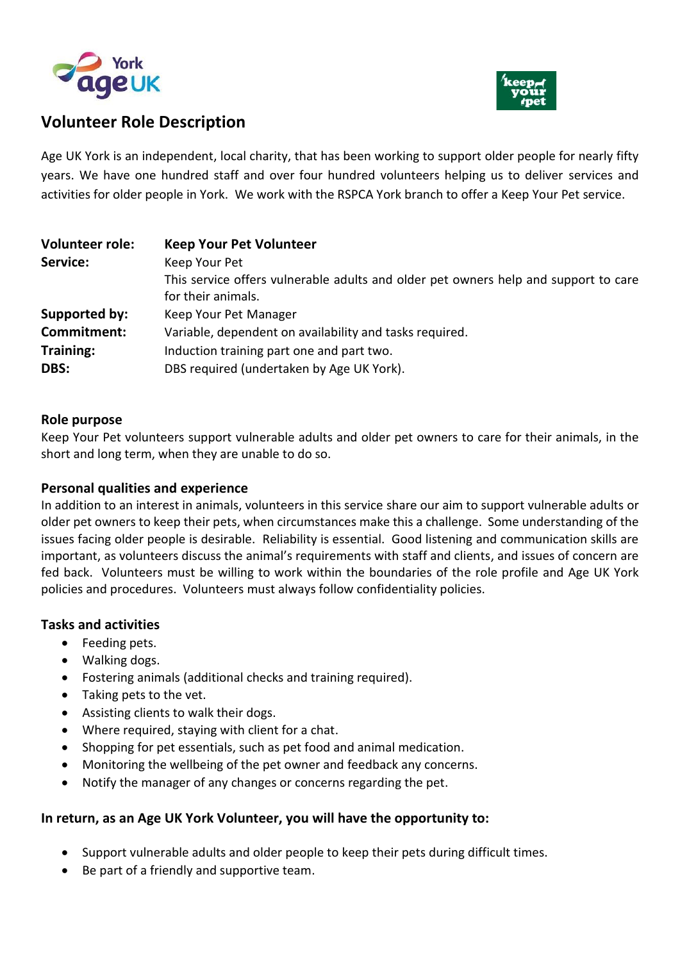



# **Volunteer Role Description**

Age UK York is an independent, local charity, that has been working to support older people for nearly fifty years. We have one hundred staff and over four hundred volunteers helping us to deliver services and activities for older people in York. We work with the RSPCA York branch to offer a Keep Your Pet service.

| <b>Volunteer role:</b> | <b>Keep Your Pet Volunteer</b>                                                      |
|------------------------|-------------------------------------------------------------------------------------|
| Service:               | Keep Your Pet                                                                       |
|                        | This service offers vulnerable adults and older pet owners help and support to care |
|                        | for their animals.                                                                  |
| Supported by:          | Keep Your Pet Manager                                                               |
| Commitment:            | Variable, dependent on availability and tasks required.                             |
| <b>Training:</b>       | Induction training part one and part two.                                           |
| DBS:                   | DBS required (undertaken by Age UK York).                                           |

### **Role purpose**

Keep Your Pet volunteers support vulnerable adults and older pet owners to care for their animals, in the short and long term, when they are unable to do so.

### **Personal qualities and experience**

In addition to an interest in animals, volunteers in this service share our aim to support vulnerable adults or older pet owners to keep their pets, when circumstances make this a challenge. Some understanding of the issues facing older people is desirable. Reliability is essential. Good listening and communication skills are important, as volunteers discuss the animal's requirements with staff and clients, and issues of concern are fed back. Volunteers must be willing to work within the boundaries of the role profile and Age UK York policies and procedures. Volunteers must always follow confidentiality policies.

#### **Tasks and activities**

- Feeding pets.
- Walking dogs.
- Fostering animals (additional checks and training required).
- Taking pets to the vet.
- Assisting clients to walk their dogs.
- Where required, staying with client for a chat.
- Shopping for pet essentials, such as pet food and animal medication.
- Monitoring the wellbeing of the pet owner and feedback any concerns.
- Notify the manager of any changes or concerns regarding the pet.

#### **In return, as an Age UK York Volunteer, you will have the opportunity to:**

- Support vulnerable adults and older people to keep their pets during difficult times.
- Be part of a friendly and supportive team.